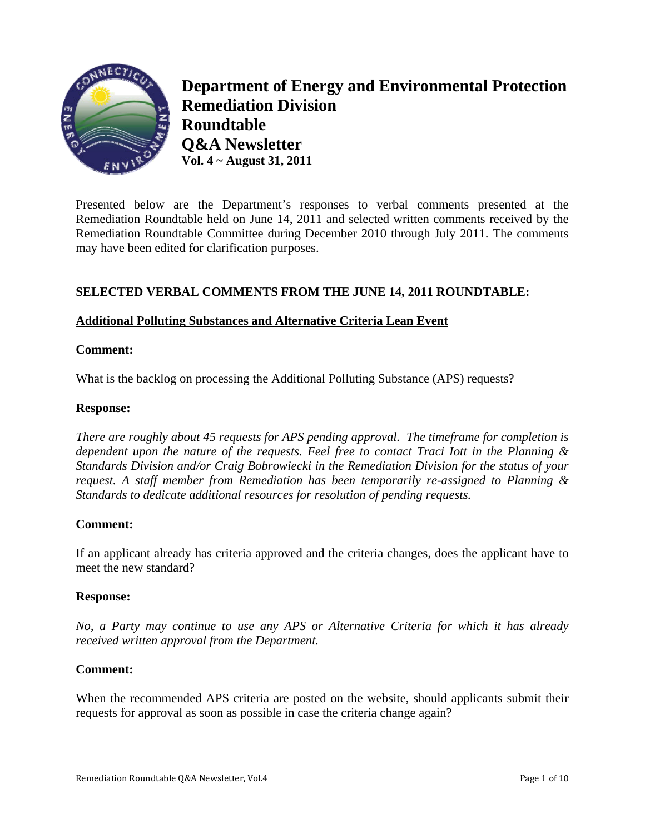

**Department of Energy and Environmental Protection Remediation Division Roundtable Q&A Newsletter Vol. 4 ~ August 31, 2011** 

Presented below are the Department's responses to verbal comments presented at the Remediation Roundtable held on June 14, 2011 and selected written comments received by the Remediation Roundtable Committee during December 2010 through July 2011. The comments may have been edited for clarification purposes.

## **SELECTED VERBAL COMMENTS FROM THE JUNE 14, 2011 ROUNDTABLE:**

### **Additional Polluting Substances and Alternative Criteria Lean Event**

#### **Comment:**

What is the backlog on processing the Additional Polluting Substance (APS) requests?

#### **Response:**

*There are roughly about 45 requests for APS pending approval. The timeframe for completion is dependent upon the nature of the requests. Feel free to contact Traci Iott in the Planning & Standards Division and/or Craig Bobrowiecki in the Remediation Division for the status of your request. A staff member from Remediation has been temporarily re-assigned to Planning & Standards to dedicate additional resources for resolution of pending requests.* 

#### **Comment:**

If an applicant already has criteria approved and the criteria changes, does the applicant have to meet the new standard?

#### **Response:**

*No, a Party may continue to use any APS or Alternative Criteria for which it has already received written approval from the Department.* 

#### **Comment:**

When the recommended APS criteria are posted on the website, should applicants submit their requests for approval as soon as possible in case the criteria change again?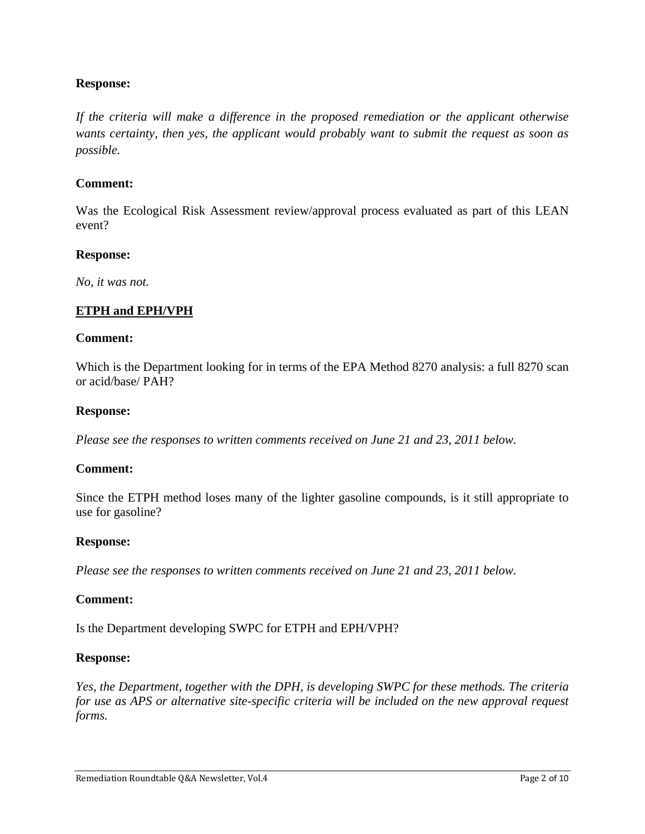### **Response:**

*If the criteria will make a difference in the proposed remediation or the applicant otherwise wants certainty, then yes, the applicant would probably want to submit the request as soon as possible.* 

#### **Comment:**

Was the Ecological Risk Assessment review/approval process evaluated as part of this LEAN event?

#### **Response:**

*No, it was not.* 

#### **ETPH and EPH/VPH**

#### **Comment:**

Which is the Department looking for in terms of the EPA Method 8270 analysis: a full 8270 scan or acid/base/ PAH?

#### **Response:**

*Please see the responses to written comments received on June 21 and 23, 2011 below.* 

#### **Comment:**

Since the ETPH method loses many of the lighter gasoline compounds, is it still appropriate to use for gasoline?

#### **Response:**

*Please see the responses to written comments received on June 21 and 23, 2011 below.* 

#### **Comment:**

Is the Department developing SWPC for ETPH and EPH/VPH?

#### **Response:**

*Yes, the Department, together with the DPH, is developing SWPC for these methods. The criteria for use as APS or alternative site-specific criteria will be included on the new approval request forms.*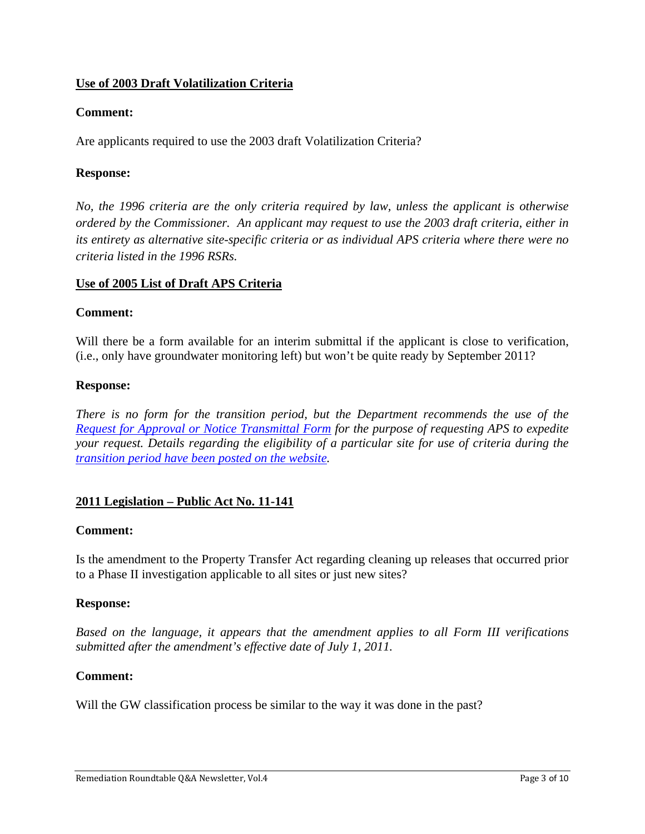## **Use of 2003 Draft Volatilization Criteria**

## **Comment:**

Are applicants required to use the 2003 draft Volatilization Criteria?

### **Response:**

*No, the 1996 criteria are the only criteria required by law, unless the applicant is otherwise ordered by the Commissioner. An applicant may request to use the 2003 draft criteria, either in its entirety as alternative site-specific criteria or as individual APS criteria where there were no criteria listed in the 1996 RSRs.* 

### **Use of 2005 List of Draft APS Criteria**

### **Comment:**

Will there be a form available for an interim submittal if the applicant is close to verification, (i.e., only have groundwater monitoring left) but won't be quite ready by September 2011?

#### **Response:**

*There is no form for the transition period, but the Department recommends the use of the Request for Approval or Notice Transmittal Form for the purpose of requesting APS to expedite your request. Details regarding the eligibility of a particular site for use of criteria during the transition period have been posted on the website.* 

### **2011 Legislation – Public Act No. 11-141**

### **Comment:**

Is the amendment to the Property Transfer Act regarding cleaning up releases that occurred prior to a Phase II investigation applicable to all sites or just new sites?

#### **Response:**

*Based on the language, it appears that the amendment applies to all Form III verifications submitted after the amendment's effective date of July 1, 2011.* 

### **Comment:**

Will the GW classification process be similar to the way it was done in the past?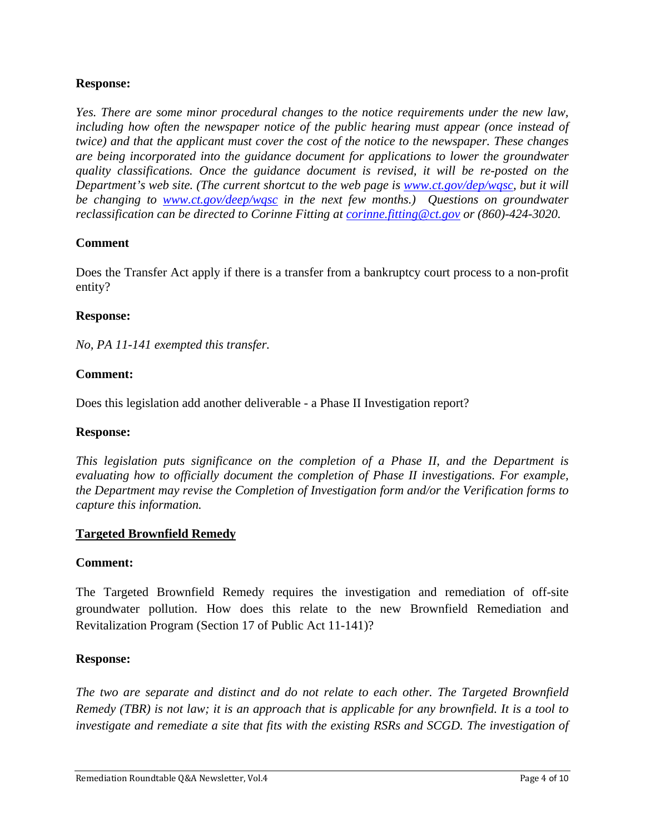### **Response:**

*Yes. There are some minor procedural changes to the notice requirements under the new law,*  including how often the newspaper notice of the public hearing must appear (once instead of *twice) and that the applicant must cover the cost of the notice to the newspaper. These changes are being incorporated into the guidance document for applications to lower the groundwater quality classifications. Once the guidance document is revised, it will be re-posted on the Department's web site. (The current shortcut to the web page is www.ct.gov/dep/wqsc, but it will be changing to www.ct.gov/deep/wqsc in the next few months.) Questions on groundwater reclassification can be directed to Corinne Fitting at corinne.fitting@ct.gov or (860)-424-3020.* 

### **Comment**

Does the Transfer Act apply if there is a transfer from a bankruptcy court process to a non-profit entity?

#### **Response:**

*No, PA 11-141 exempted this transfer.* 

### **Comment:**

Does this legislation add another deliverable - a Phase II Investigation report?

#### **Response:**

*This legislation puts significance on the completion of a Phase II, and the Department is evaluating how to officially document the completion of Phase II investigations. For example, the Department may revise the Completion of Investigation form and/or the Verification forms to capture this information.* 

#### **Targeted Brownfield Remedy**

#### **Comment:**

The Targeted Brownfield Remedy requires the investigation and remediation of off-site groundwater pollution. How does this relate to the new Brownfield Remediation and Revitalization Program (Section 17 of Public Act 11-141)?

#### **Response:**

*The two are separate and distinct and do not relate to each other. The Targeted Brownfield Remedy (TBR) is not law; it is an approach that is applicable for any brownfield. It is a tool to investigate and remediate a site that fits with the existing RSRs and SCGD. The investigation of*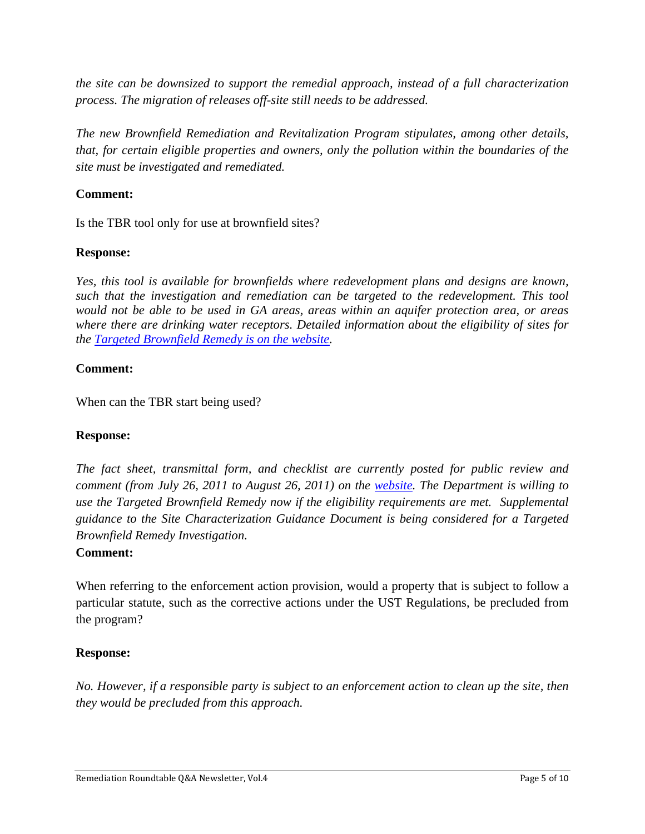*the site can be downsized to support the remedial approach, instead of a full characterization process. The migration of releases off-site still needs to be addressed.* 

*The new Brownfield Remediation and Revitalization Program stipulates, among other details, that, for certain eligible properties and owners, only the pollution within the boundaries of the site must be investigated and remediated.* 

## **Comment:**

Is the TBR tool only for use at brownfield sites?

### **Response:**

*Yes, this tool is available for brownfields where redevelopment plans and designs are known, such that the investigation and remediation can be targeted to the redevelopment. This tool would not be able to be used in GA areas, areas within an aquifer protection area, or areas where there are drinking water receptors. Detailed information about the eligibility of sites for the Targeted Brownfield Remedy is on the website.* 

### **Comment:**

When can the TBR start being used?

#### **Response:**

*The fact sheet, transmittal form, and checklist are currently posted for public review and comment (from July 26, 2011 to August 26, 2011) on the website. The Department is willing to use the Targeted Brownfield Remedy now if the eligibility requirements are met. Supplemental guidance to the Site Characterization Guidance Document is being considered for a Targeted Brownfield Remedy Investigation.* 

#### **Comment:**

When referring to the enforcement action provision, would a property that is subject to follow a particular statute, such as the corrective actions under the UST Regulations, be precluded from the program?

#### **Response:**

*No. However, if a responsible party is subject to an enforcement action to clean up the site, then they would be precluded from this approach.*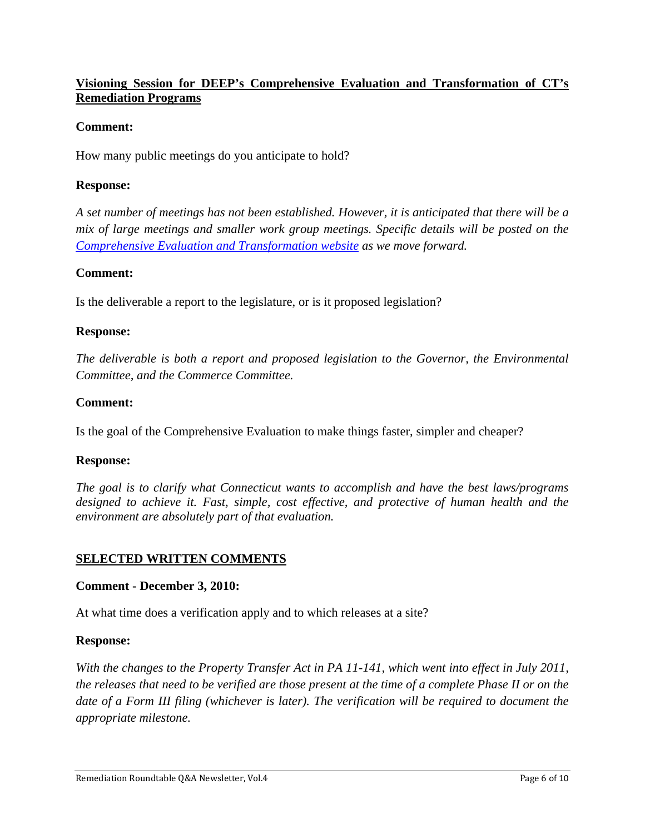## **Visioning Session for DEEP's Comprehensive Evaluation and Transformation of CT's Remediation Programs**

### **Comment:**

How many public meetings do you anticipate to hold?

#### **Response:**

*A set number of meetings has not been established. However, it is anticipated that there will be a mix of large meetings and smaller work group meetings. Specific details will be posted on the Comprehensive Evaluation and Transformation website as we move forward.* 

#### **Comment:**

Is the deliverable a report to the legislature, or is it proposed legislation?

#### **Response:**

*The deliverable is both a report and proposed legislation to the Governor, the Environmental Committee, and the Commerce Committee.* 

#### **Comment:**

Is the goal of the Comprehensive Evaluation to make things faster, simpler and cheaper?

#### **Response:**

*The goal is to clarify what Connecticut wants to accomplish and have the best laws/programs designed to achieve it. Fast, simple, cost effective, and protective of human health and the environment are absolutely part of that evaluation.*

#### **SELECTED WRITTEN COMMENTS**

#### **Comment - December 3, 2010:**

At what time does a verification apply and to which releases at a site?

#### **Response:**

*With the changes to the Property Transfer Act in PA 11-141, which went into effect in July 2011, the releases that need to be verified are those present at the time of a complete Phase II or on the date of a Form III filing (whichever is later). The verification will be required to document the appropriate milestone.*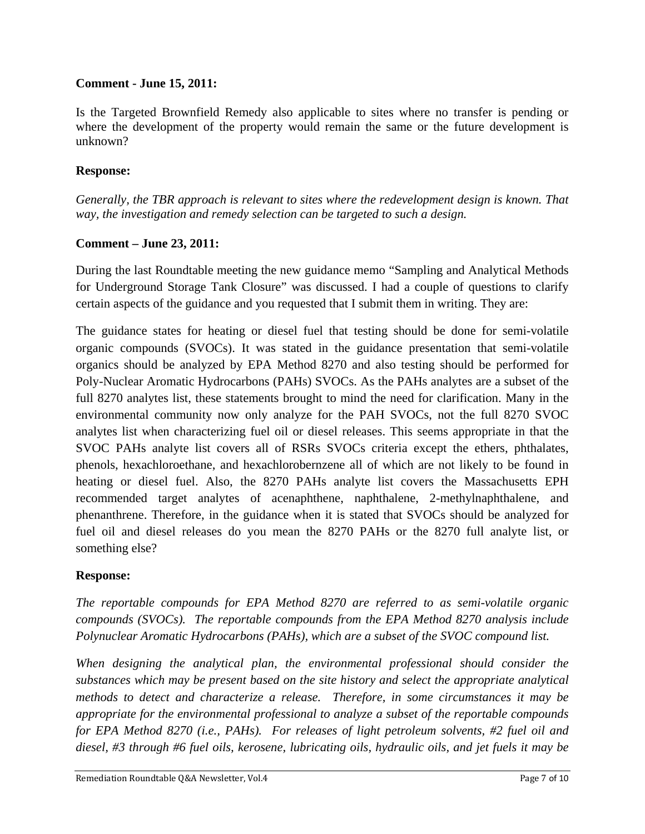### **Comment - June 15, 2011:**

Is the Targeted Brownfield Remedy also applicable to sites where no transfer is pending or where the development of the property would remain the same or the future development is unknown?

### **Response:**

*Generally, the TBR approach is relevant to sites where the redevelopment design is known. That way, the investigation and remedy selection can be targeted to such a design.* 

### **Comment – June 23, 2011:**

During the last Roundtable meeting the new guidance memo "Sampling and Analytical Methods for Underground Storage Tank Closure" was discussed. I had a couple of questions to clarify certain aspects of the guidance and you requested that I submit them in writing. They are:

The guidance states for heating or diesel fuel that testing should be done for semi-volatile organic compounds (SVOCs). It was stated in the guidance presentation that semi-volatile organics should be analyzed by EPA Method 8270 and also testing should be performed for Poly-Nuclear Aromatic Hydrocarbons (PAHs) SVOCs. As the PAHs analytes are a subset of the full 8270 analytes list, these statements brought to mind the need for clarification. Many in the environmental community now only analyze for the PAH SVOCs, not the full 8270 SVOC analytes list when characterizing fuel oil or diesel releases. This seems appropriate in that the SVOC PAHs analyte list covers all of RSRs SVOCs criteria except the ethers, phthalates, phenols, hexachloroethane, and hexachlorobernzene all of which are not likely to be found in heating or diesel fuel. Also, the 8270 PAHs analyte list covers the Massachusetts EPH recommended target analytes of acenaphthene, naphthalene, 2-methylnaphthalene, and phenanthrene. Therefore, in the guidance when it is stated that SVOCs should be analyzed for fuel oil and diesel releases do you mean the 8270 PAHs or the 8270 full analyte list, or something else?

### **Response:**

*The reportable compounds for EPA Method 8270 are referred to as semi-volatile organic compounds (SVOCs). The reportable compounds from the EPA Method 8270 analysis include Polynuclear Aromatic Hydrocarbons (PAHs), which are a subset of the SVOC compound list.* 

*When designing the analytical plan, the environmental professional should consider the substances which may be present based on the site history and select the appropriate analytical methods to detect and characterize a release. Therefore, in some circumstances it may be appropriate for the environmental professional to analyze a subset of the reportable compounds for EPA Method 8270 (i.e., PAHs). For releases of light petroleum solvents, #2 fuel oil and diesel, #3 through #6 fuel oils, kerosene, lubricating oils, hydraulic oils, and jet fuels it may be*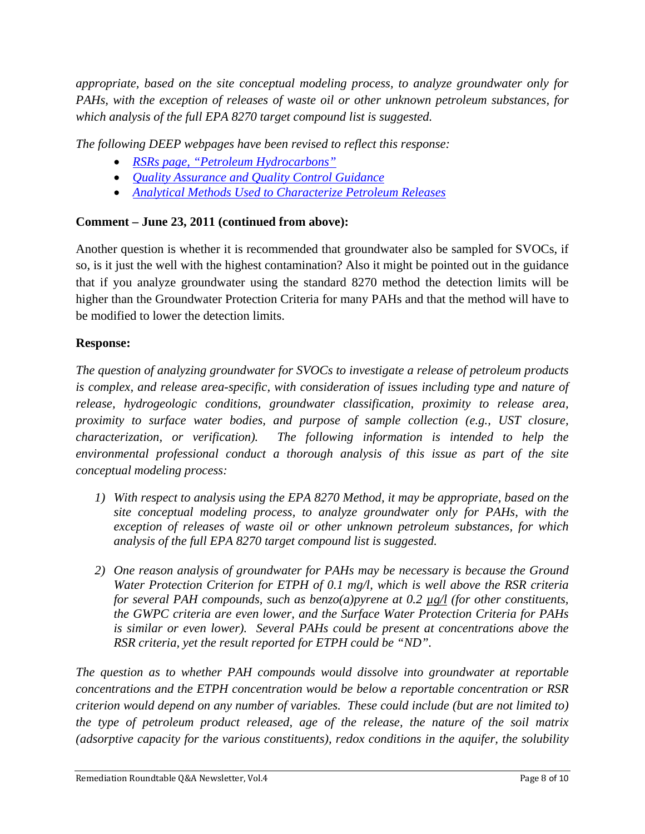*appropriate, based on the site conceptual modeling process, to analyze groundwater only for PAHs, with the exception of releases of waste oil or other unknown petroleum substances, for which analysis of the full EPA 8270 target compound list is suggested.* 

*The following DEEP webpages have been revised to reflect this response:* 

- *RSRs page, "Petroleum Hydrocarbons"*
- *Quality Assurance and Quality Control Guidance*
- *Analytical Methods Used to Characterize Petroleum Releases*

# **Comment – June 23, 2011 (continued from above):**

Another question is whether it is recommended that groundwater also be sampled for SVOCs, if so, is it just the well with the highest contamination? Also it might be pointed out in the guidance that if you analyze groundwater using the standard 8270 method the detection limits will be higher than the Groundwater Protection Criteria for many PAHs and that the method will have to be modified to lower the detection limits.

# **Response:**

*The question of analyzing groundwater for SVOCs to investigate a release of petroleum products is complex, and release area-specific, with consideration of issues including type and nature of release, hydrogeologic conditions, groundwater classification, proximity to release area, proximity to surface water bodies, and purpose of sample collection (e.g., UST closure, characterization, or verification). The following information is intended to help the environmental professional conduct a thorough analysis of this issue as part of the site conceptual modeling process:* 

- *1) With respect to analysis using the EPA 8270 Method, it may be appropriate, based on the site conceptual modeling process, to analyze groundwater only for PAHs, with the exception of releases of waste oil or other unknown petroleum substances, for which analysis of the full EPA 8270 target compound list is suggested.*
- *2) One reason analysis of groundwater for PAHs may be necessary is because the Ground Water Protection Criterion for ETPH of 0.1 mg/l, which is well above the RSR criteria for several PAH compounds, such as benzo(a)pyrene at 0.2 µg/l (for other constituents, the GWPC criteria are even lower, and the Surface Water Protection Criteria for PAHs*  is similar or even lower). Several PAHs could be present at concentrations above the *RSR criteria, yet the result reported for ETPH could be "ND".*

*The question as to whether PAH compounds would dissolve into groundwater at reportable concentrations and the ETPH concentration would be below a reportable concentration or RSR criterion would depend on any number of variables. These could include (but are not limited to) the type of petroleum product released, age of the release, the nature of the soil matrix (adsorptive capacity for the various constituents), redox conditions in the aquifer, the solubility*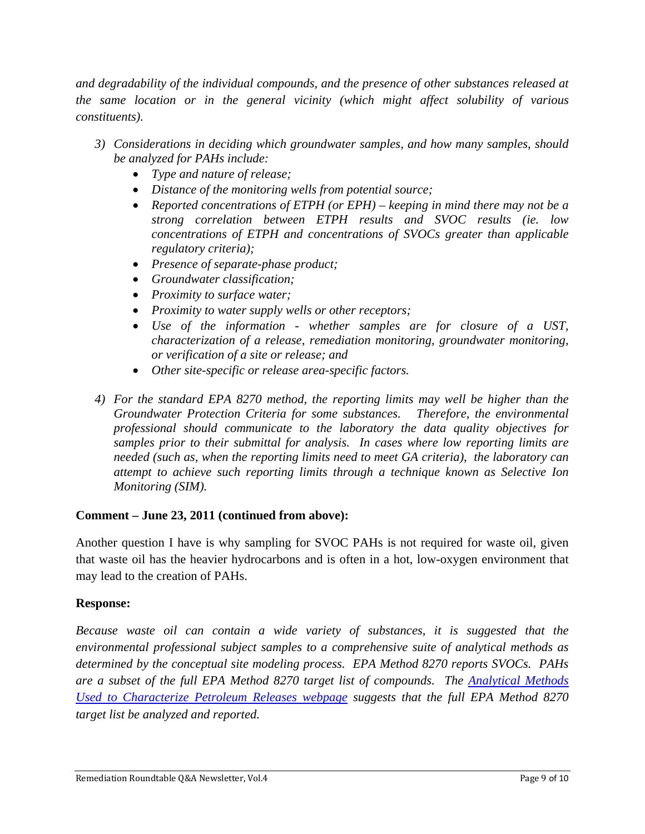*and degradability of the individual compounds, and the presence of other substances released at the same location or in the general vicinity (which might affect solubility of various constituents).* 

- *3) Considerations in deciding which groundwater samples, and how many samples, should be analyzed for PAHs include:* 
	- *Type and nature of release;*
	- *Distance of the monitoring wells from potential source;*
	- *Reported concentrations of ETPH (or EPH) keeping in mind there may not be a strong correlation between ETPH results and SVOC results (ie. low concentrations of ETPH and concentrations of SVOCs greater than applicable regulatory criteria);*
	- *Presence of separate-phase product;*
	- *Groundwater classification;*
	- *Proximity to surface water;*
	- *Proximity to water supply wells or other receptors;*
	- *Use of the information whether samples are for closure of a UST, characterization of a release, remediation monitoring, groundwater monitoring, or verification of a site or release; and*
	- *Other site-specific or release area-specific factors.*
- *4) For the standard EPA 8270 method, the reporting limits may well be higher than the Groundwater Protection Criteria for some substances. Therefore, the environmental professional should communicate to the laboratory the data quality objectives for samples prior to their submittal for analysis. In cases where low reporting limits are needed (such as, when the reporting limits need to meet GA criteria), the laboratory can attempt to achieve such reporting limits through a technique known as Selective Ion Monitoring (SIM).*

### **Comment – June 23, 2011 (continued from above):**

Another question I have is why sampling for SVOC PAHs is not required for waste oil, given that waste oil has the heavier hydrocarbons and is often in a hot, low-oxygen environment that may lead to the creation of PAHs.

### **Response:**

*Because waste oil can contain a wide variety of substances, it is suggested that the environmental professional subject samples to a comprehensive suite of analytical methods as determined by the conceptual site modeling process. EPA Method 8270 reports SVOCs. PAHs are a subset of the full EPA Method 8270 target list of compounds. The Analytical Methods Used to Characterize Petroleum Releases webpage suggests that the full EPA Method 8270 target list be analyzed and reported.*